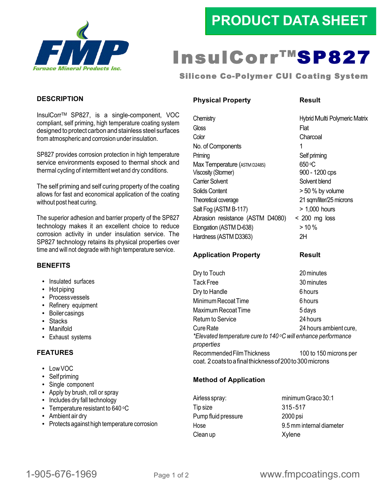

## **PRODUCT DATA SHEET**

# InsulCorr<sup>TM</sup>SP827

Silicone Co-Polymer CUI Coating System

#### **DESCRIPTION**

InsulCorrTM SP827, is a single-component, VOC compliant, self priming, high temperature coating system designed to protect carbon and stainless steel surfaces from atmospheric and corrosion under insulation.

SP827 provides corrosion protection in high temperature service environments exposed to thermal shock and thermal cycling of intermittent wet and dry conditions.

The self priming and self curing property of the coating allows for fast and economical application of the coating without post heat curing.

The superior adhesion and barrier property of the SP827 technology makes it an excellent choice to reduce corrosion activity in under insulation service. The SP827 technology retains its physical properties over time and will not degrade with high temperature service.

#### **BENEFITS**

- Insulated surfaces
- Hot piping
- Processvessels
- Refinery equipment
- Boilercasings
- Stacks
- Manifold
- Exhaust systems

#### **FEATURES**

- Low VOC
- Self priming
- Single component
- Apply by brush, roll or spray
- Includes dry fall technology
- Temperature resistant to 640 °C
- Ambient air dry
- Protects against high temperature corrosion

#### **Physical Property Result**

Chemistry Hybrid Multi Polymeric Matrix Gloss **Flat** Color Charcoal No. of Components 1 Priming **Self priming** Max Temperature (ASTM D2485) 650 °C Viscosity (Stormer) 900 - 1200 cps Carrier Solvent Solvent Blend Solids Content  $>$  50 % by volume Theoretical coverage 21 sqm/liter/25 microns Salt Fog (ASTM B-117) > 1,000 hours Abrasion resistance (ASTM D4080) < 200 mg loss  $E$ longation (ASTM D-638)  $> 10\%$ Hardness (ASTM D3363) 2H

#### **Application Property Result**

Dry to Touch 20 minutes Tack Free 30 minutes Dry to Handle 6 hours Minimum Recoat Time 6 hours Maximum Recoat Time 5 days Return to Service 24 hours Cure Rate 24 hours ambient cure, *\*Elevated temperature cure to 140 oC will enhance performance properties* Recommended Film Thickness 100 to 150 microns per coat. 2coatstoafinalthicknessof200to300microns

#### **Method of Application**

Tip size 315-517 Pump fluid pressure 2000 psi Clean up Xylene

Airless spray: minimum Graco 30:1 Hose 9.5 mm internal diameter

### 1-905-676-1969 Page 1 of <sup>2</sup> www.fmpcoatings.com